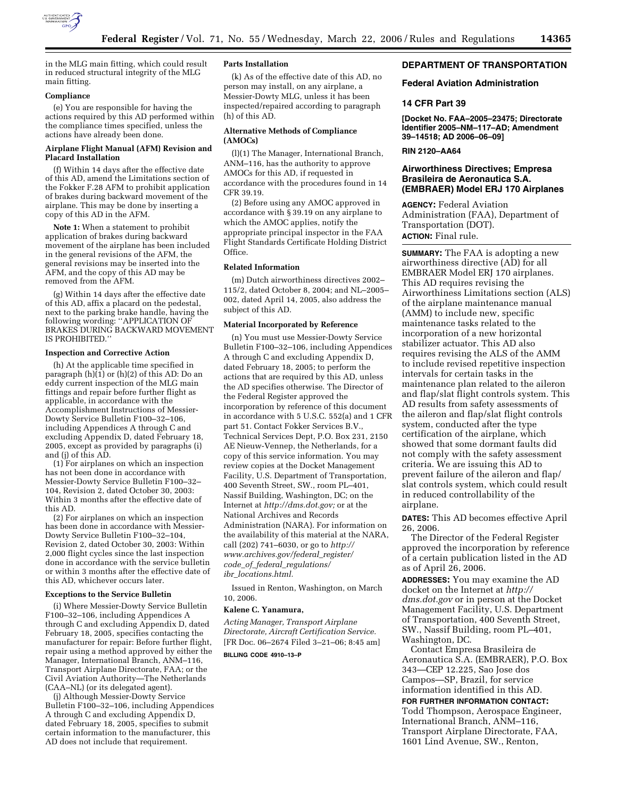

in the MLG main fitting, which could result in reduced structural integrity of the MLG main fitting.

## **Compliance**

(e) You are responsible for having the actions required by this AD performed within the compliance times specified, unless the actions have already been done.

## **Airplane Flight Manual (AFM) Revision and Placard Installation**

(f) Within 14 days after the effective date of this AD, amend the Limitations section of the Fokker F.28 AFM to prohibit application of brakes during backward movement of the airplane. This may be done by inserting a copy of this AD in the AFM.

**Note 1:** When a statement to prohibit application of brakes during backward movement of the airplane has been included in the general revisions of the AFM, the general revisions may be inserted into the AFM, and the copy of this AD may be removed from the AFM.

(g) Within 14 days after the effective date of this AD, affix a placard on the pedestal, next to the parking brake handle, having the following wording: ''APPLICATION OF BRAKES DURING BACKWARD MOVEMENT IS PROHIBITED.''

# **Inspection and Corrective Action**

(h) At the applicable time specified in paragraph (h)(1) or (h)(2) of this AD: Do an eddy current inspection of the MLG main fittings and repair before further flight as applicable, in accordance with the Accomplishment Instructions of Messier-Dowty Service Bulletin F100–32–106, including Appendices A through C and excluding Appendix D, dated February 18, 2005, except as provided by paragraphs (i) and (j) of this AD.

(1) For airplanes on which an inspection has not been done in accordance with Messier-Dowty Service Bulletin F100–32– 104, Revision 2, dated October 30, 2003: Within 3 months after the effective date of this AD.

(2) For airplanes on which an inspection has been done in accordance with Messier-Dowty Service Bulletin F100–32–104, Revision 2, dated October 30, 2003: Within 2,000 flight cycles since the last inspection done in accordance with the service bulletin or within 3 months after the effective date of this AD, whichever occurs later.

### **Exceptions to the Service Bulletin**

(i) Where Messier-Dowty Service Bulletin F100–32–106, including Appendices A through C and excluding Appendix D, dated February 18, 2005, specifies contacting the manufacturer for repair: Before further flight, repair using a method approved by either the Manager, International Branch, ANM–116, Transport Airplane Directorate, FAA; or the Civil Aviation Authority—The Netherlands (CAA–NL) (or its delegated agent).

(j) Although Messier-Dowty Service Bulletin F100–32–106, including Appendices A through C and excluding Appendix D, dated February 18, 2005, specifies to submit certain information to the manufacturer, this AD does not include that requirement.

## **Parts Installation**

(k) As of the effective date of this AD, no person may install, on any airplane, a Messier-Dowty MLG, unless it has been inspected/repaired according to paragraph (h) of this AD.

## **Alternative Methods of Compliance (AMOCs)**

(l)(1) The Manager, International Branch, ANM–116, has the authority to approve AMOCs for this AD, if requested in accordance with the procedures found in 14 CFR 39.19.

(2) Before using any AMOC approved in accordance with § 39.19 on any airplane to which the AMOC applies, notify the appropriate principal inspector in the FAA Flight Standards Certificate Holding District Office.

# **Related Information**

(m) Dutch airworthiness directives 2002– 115/2, dated October 8, 2004; and NL–2005– 002, dated April 14, 2005, also address the subject of this AD.

### **Material Incorporated by Reference**

(n) You must use Messier-Dowty Service Bulletin F100–32–106, including Appendices A through C and excluding Appendix D, dated February 18, 2005; to perform the actions that are required by this AD, unless the AD specifies otherwise. The Director of the Federal Register approved the incorporation by reference of this document in accordance with 5 U.S.C. 552(a) and 1 CFR part 51. Contact Fokker Services B.V., Technical Services Dept, P.O. Box 231, 2150 AE Nieuw-Vennep, the Netherlands, for a copy of this service information. You may review copies at the Docket Management Facility, U.S. Department of Transportation, 400 Seventh Street, SW., room PL–401, Nassif Building, Washington, DC; on the Internet at *http://dms.dot.gov;* or at the National Archives and Records Administration (NARA). For information on the availability of this material at the NARA, call (202) 741–6030, or go to *http:// www.archives.gov/federal*\_*register/ code*\_*of*\_*federal*\_*regulations/ ibr*\_*locations.html.* 

Issued in Renton, Washington, on March 10, 2006.

#### **Kalene C. Yanamura,**

*Acting Manager, Transport Airplane Directorate, Aircraft Certification Service.*  [FR Doc. 06–2674 Filed 3–21–06; 8:45 am]

**BILLING CODE 4910–13–P** 

## **DEPARTMENT OF TRANSPORTATION**

## **Federal Aviation Administration**

### **14 CFR Part 39**

**[Docket No. FAA–2005–23475; Directorate Identifier 2005–NM–117–AD; Amendment 39–14518; AD 2006–06–09]** 

# **RIN 2120–AA64**

# **Airworthiness Directives; Empresa Brasileira de Aeronautica S.A. (EMBRAER) Model ERJ 170 Airplanes**

**AGENCY:** Federal Aviation Administration (FAA), Department of Transportation (DOT). **ACTION:** Final rule.

**SUMMARY:** The FAA is adopting a new airworthiness directive (AD) for all EMBRAER Model ERJ 170 airplanes. This AD requires revising the Airworthiness Limitations section (ALS) of the airplane maintenance manual (AMM) to include new, specific maintenance tasks related to the incorporation of a new horizontal stabilizer actuator. This AD also requires revising the ALS of the AMM to include revised repetitive inspection intervals for certain tasks in the maintenance plan related to the aileron and flap/slat flight controls system. This AD results from safety assessments of the aileron and flap/slat flight controls system, conducted after the type certification of the airplane, which showed that some dormant faults did not comply with the safety assessment criteria. We are issuing this AD to prevent failure of the aileron and flap/ slat controls system, which could result in reduced controllability of the airplane.

**DATES:** This AD becomes effective April 26, 2006.

The Director of the Federal Register approved the incorporation by reference of a certain publication listed in the AD as of April 26, 2006.

**ADDRESSES:** You may examine the AD docket on the Internet at *http:// dms.dot.gov* or in person at the Docket Management Facility, U.S. Department of Transportation, 400 Seventh Street, SW., Nassif Building, room PL–401, Washington, DC.

Contact Empresa Brasileira de Aeronautica S.A. (EMBRAER), P.O. Box 343—CEP 12.225, Sao Jose dos Campos—SP, Brazil, for service information identified in this AD.

**FOR FURTHER INFORMATION CONTACT:**  Todd Thompson, Aerospace Engineer, International Branch, ANM–116, Transport Airplane Directorate, FAA, 1601 Lind Avenue, SW., Renton,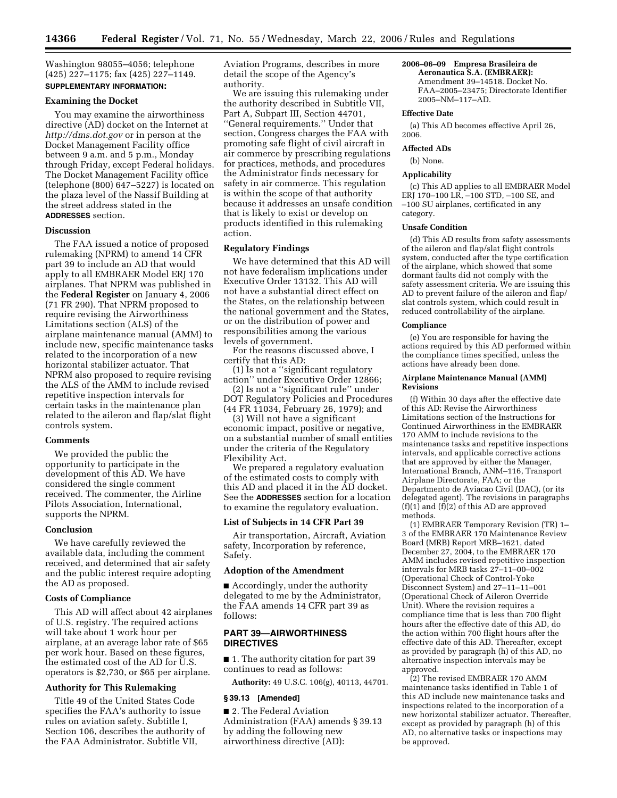Washington 98055–4056; telephone (425) 227–1175; fax (425) 227–1149. **SUPPLEMENTARY INFORMATION:** 

### **Examining the Docket**

You may examine the airworthiness directive (AD) docket on the Internet at *http://dms.dot.gov* or in person at the Docket Management Facility office between 9 a.m. and 5 p.m., Monday through Friday, except Federal holidays. The Docket Management Facility office (telephone (800) 647–5227) is located on the plaza level of the Nassif Building at the street address stated in the **ADDRESSES** section.

### **Discussion**

The FAA issued a notice of proposed rulemaking (NPRM) to amend 14 CFR part 39 to include an AD that would apply to all EMBRAER Model ERJ 170 airplanes. That NPRM was published in the **Federal Register** on January 4, 2006 (71 FR 290). That NPRM proposed to require revising the Airworthiness Limitations section (ALS) of the airplane maintenance manual (AMM) to include new, specific maintenance tasks related to the incorporation of a new horizontal stabilizer actuator. That NPRM also proposed to require revising the ALS of the AMM to include revised repetitive inspection intervals for certain tasks in the maintenance plan related to the aileron and flap/slat flight controls system.

### **Comments**

We provided the public the opportunity to participate in the development of this AD. We have considered the single comment received. The commenter, the Airline Pilots Association, International, supports the NPRM.

### **Conclusion**

We have carefully reviewed the available data, including the comment received, and determined that air safety and the public interest require adopting the AD as proposed.

# **Costs of Compliance**

This AD will affect about 42 airplanes of U.S. registry. The required actions will take about 1 work hour per airplane, at an average labor rate of \$65 per work hour. Based on these figures, the estimated cost of the AD for U.S. operators is \$2,730, or \$65 per airplane.

### **Authority for This Rulemaking**

Title 49 of the United States Code specifies the FAA's authority to issue rules on aviation safety. Subtitle I, Section 106, describes the authority of the FAA Administrator. Subtitle VII,

Aviation Programs, describes in more detail the scope of the Agency's authority.

We are issuing this rulemaking under the authority described in Subtitle VII, Part A, Subpart III, Section 44701, ''General requirements.'' Under that section, Congress charges the FAA with promoting safe flight of civil aircraft in air commerce by prescribing regulations for practices, methods, and procedures the Administrator finds necessary for safety in air commerce. This regulation is within the scope of that authority because it addresses an unsafe condition that is likely to exist or develop on products identified in this rulemaking action.

## **Regulatory Findings**

We have determined that this AD will not have federalism implications under Executive Order 13132. This AD will not have a substantial direct effect on the States, on the relationship between the national government and the States, or on the distribution of power and responsibilities among the various levels of government.

For the reasons discussed above, I certify that this AD:

(1) Is not a ''significant regulatory action'' under Executive Order 12866;

(2) Is not a ''significant rule'' under DOT Regulatory Policies and Procedures (44 FR 11034, February 26, 1979); and

(3) Will not have a significant economic impact, positive or negative, on a substantial number of small entities under the criteria of the Regulatory Flexibility Act.

We prepared a regulatory evaluation of the estimated costs to comply with this AD and placed it in the AD docket. See the **ADDRESSES** section for a location to examine the regulatory evaluation.

# **List of Subjects in 14 CFR Part 39**

Air transportation, Aircraft, Aviation safety, Incorporation by reference, Safety.

## **Adoption of the Amendment**

■ Accordingly, under the authority delegated to me by the Administrator, the FAA amends 14 CFR part 39 as follows:

# **PART 39—AIRWORTHINESS DIRECTIVES**

■ 1. The authority citation for part 39 continues to read as follows:

**Authority:** 49 U.S.C. 106(g), 40113, 44701.

### **§ 39.13 [Amended]**

■ 2. The Federal Aviation Administration (FAA) amends § 39.13 by adding the following new airworthiness directive (AD):

# **2006–06–09 Empresa Brasileira de**

**Aeronautica S.A. (EMBRAER):**  Amendment 39–14518. Docket No. FAA–2005–23475; Directorate Identifier 2005–NM–117–AD.

#### **Effective Date**

(a) This AD becomes effective April 26, 2006.

### **Affected ADs**

(b) None.

#### **Applicability**

(c) This AD applies to all EMBRAER Model ERJ 170–100 LR, –100 STD, –100 SE, and –100 SU airplanes, certificated in any category.

### **Unsafe Condition**

(d) This AD results from safety assessments of the aileron and flap/slat flight controls system, conducted after the type certification of the airplane, which showed that some dormant faults did not comply with the safety assessment criteria. We are issuing this AD to prevent failure of the aileron and flap/ slat controls system, which could result in reduced controllability of the airplane.

### **Compliance**

(e) You are responsible for having the actions required by this AD performed within the compliance times specified, unless the actions have already been done.

## **Airplane Maintenance Manual (AMM) Revisions**

(f) Within 30 days after the effective date of this AD: Revise the Airworthiness Limitations section of the Instructions for Continued Airworthiness in the EMBRAER 170 AMM to include revisions to the maintenance tasks and repetitive inspections intervals, and applicable corrective actions that are approved by either the Manager, International Branch, ANM–116, Transport Airplane Directorate, FAA; or the Departmento de Aviacao Civil (DAC), (or its delegated agent). The revisions in paragraphs (f)(1) and (f)(2) of this AD are approved methods.

(1) EMBRAER Temporary Revision (TR) 1– 3 of the EMBRAER 170 Maintenance Review Board (MRB) Report MRB–1621, dated December 27, 2004, to the EMBRAER 170 AMM includes revised repetitive inspection intervals for MRB tasks 27–11–00–002 (Operational Check of Control-Yoke Disconnect System) and 27–11–11–001 (Operational Check of Aileron Override Unit). Where the revision requires a compliance time that is less than 700 flight hours after the effective date of this AD, do the action within 700 flight hours after the effective date of this AD. Thereafter, except as provided by paragraph (h) of this AD, no alternative inspection intervals may be approved.

(2) The revised EMBRAER 170 AMM maintenance tasks identified in Table 1 of this AD include new maintenance tasks and inspections related to the incorporation of a new horizontal stabilizer actuator. Thereafter, except as provided by paragraph (h) of this AD, no alternative tasks or inspections may be approved.